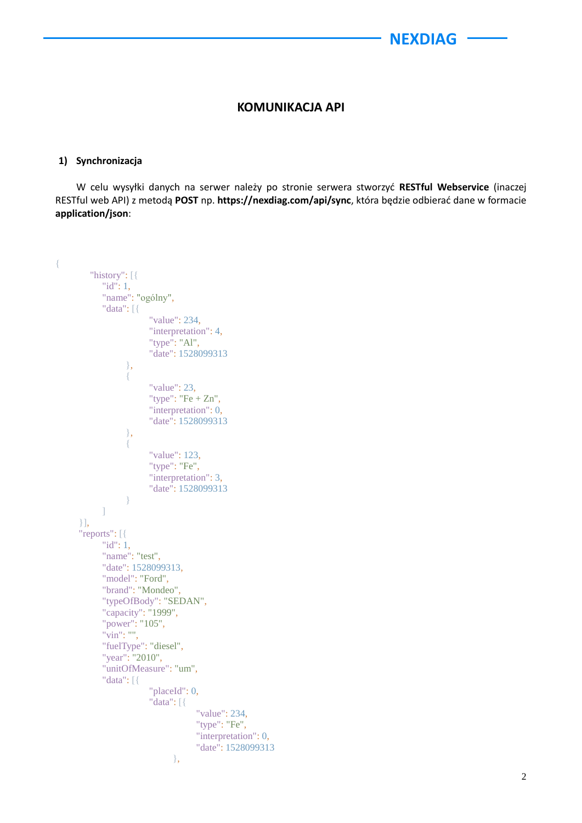## **KOMUNIKACJA API**

#### **1) Synchronizacja**

W celu wysyłki danych na serwer należy po stronie serwera stworzyć **RESTful Webservice** (inaczej RESTful web API) z metodą **POST** np. **https://nexdiag.com/api/sync**, która będzie odbierać dane w formacie **application/json**:

```
{ 
         "history": [{
             "id": 1,
             "name": "ogólny",
             "data": [{
                          "value": 234,
                         "interpretation": 4,
                         "type": "Al",
                         "date": 1528099313
 },
\left\{ \begin{array}{c} 1 & 0 \\ 0 & 1 \end{array} \right\} "value": 23,
                         "type": "Fe + Zn",
                        "interpretation": 0,
                        "date": 1528099313
 },
\left\{ \begin{array}{c} 1 & 0 \\ 0 & 1 \end{array} \right\} "value": 123,
                          "type": "Fe",
                         "interpretation": 3,
                          "date": 1528099313
 }
             ]
       }],
       "reports": [{
             "id": 1,
             "name": "test",
             "date": 1528099313,
             "model": "Ford",
             "brand": "Mondeo",
             "typeOfBody": "SEDAN",
             "capacity": "1999",
             "power": "105",
             "vin": "",
             "fuelType": "diesel",
             "year": "2010",
             "unitOfMeasure": "um",
             "data": [{
                          "placeId": 0,
                          "data": [{
                                      "value": 234,
                                      "type": "Fe",
                                      "interpretation": 0,
                                      "date": 1528099313
 },
```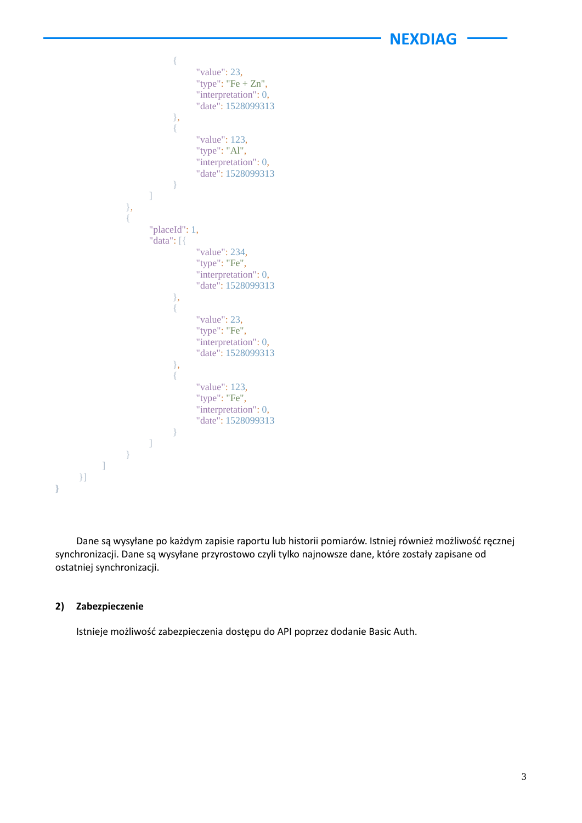```
\{ "value": 23,
                          "type": "Fe + Zn",
                          "interpretation": 0,
                          "date": 1528099313
 },
\{ "value": 123,
                           "type": "Al",
                           "interpretation": 0,
                           "date": 1528099313
 }
 ]
              },
\left\{ \begin{array}{c} 1 & 0 \\ 0 & 1 \end{array} \right\} "placeId": 1,
                  "data": [{
                           "value": 234,
                           "type": "Fe",
                           "interpretation": 0,
                           "date": 1528099313
 },
                      {
                           "value": 23,
                           "type": "Fe",
                          "interpretation": 0,
                           "date": 1528099313
 },
                      {
                           "value": 123,
                           "type": "Fe",
                           "interpretation": 0,
                           "date": 1528099313
 }
 ]
             }
         ]
     }]
}
```
Dane są wysyłane po każdym zapisie raportu lub historii pomiarów. Istniej również możliwość ręcznej synchronizacji. Dane są wysyłane przyrostowo czyli tylko najnowsze dane, które zostały zapisane od ostatniej synchronizacji.

#### **2) Zabezpieczenie**

Istnieje możliwość zabezpieczenia dostępu do API poprzez dodanie Basic Auth.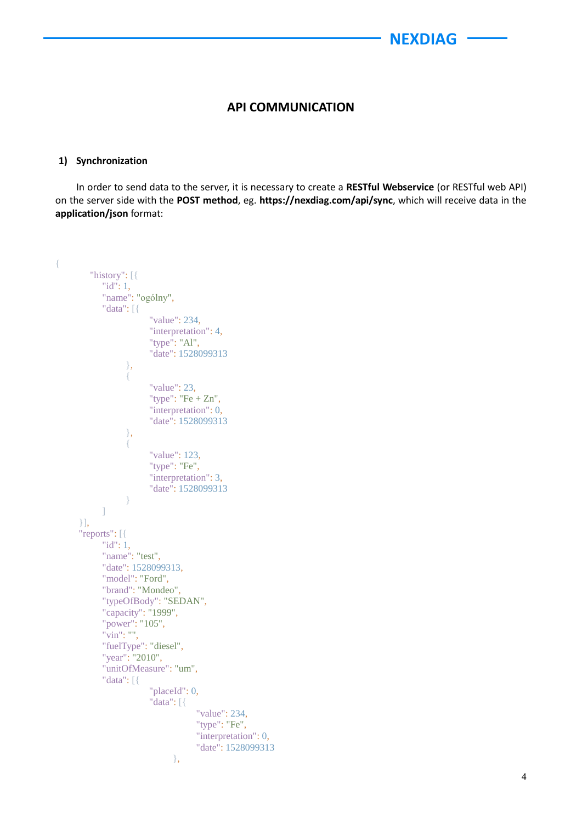## **API COMMUNICATION**

#### **1) Synchronization**

In order to send data to the server, it is necessary to create a **RESTful Webservice** (or RESTful web API) on the server side with the **POST method**, eg. **https://nexdiag.com/api/sync**, which will receive data in the **application/json** format:

```
{ 
         "history": [{
             "id": 1,
             "name": "ogólny",
             "data": [{
                          "value": 234,
                         "interpretation": 4,
                         "type": "Al",
                         "date": 1528099313
 },
\left\{ \begin{array}{c} 1 & 0 \\ 0 & 1 \end{array} \right\} "value": 23,
                        "type": "Fe + Zn",
                        "interpretation": 0,
                        "date": 1528099313
 },
\left\{ \begin{array}{c} 1 & 0 \\ 0 & 1 \end{array} \right\} "value": 123,
                         "type": "Fe",
                          "interpretation": 3,
                          "date": 1528099313
 }
             ]
       }],
       "reports": [{
             "id": 1,
             "name": "test",
             "date": 1528099313,
             "model": "Ford",
             "brand": "Mondeo",
             "typeOfBody": "SEDAN",
             "capacity": "1999",
             "power": "105",
             "vin": "",
             "fuelType": "diesel",
             "year": "2010",
             "unitOfMeasure": "um",
             "data": [{
                          "placeId": 0,
                          "data": [{
                                      "value": 234,
                                      "type": "Fe",
                                      "interpretation": 0,
                                      "date": 1528099313
 },
```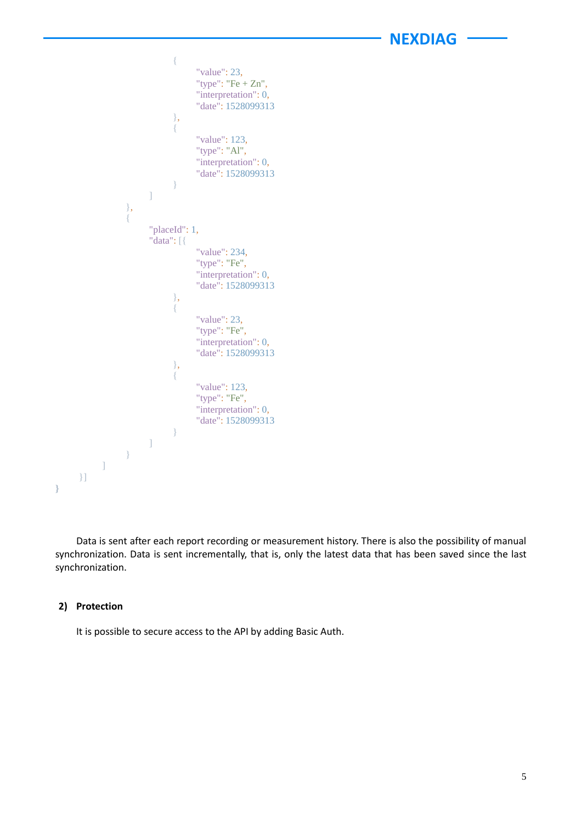```
\{ "value": 23,
                           "type": "Fe + Zn",
                           "interpretation": 0,
                           "date": 1528099313
 },
                       {
                            "value": 123,
                            "type": "Al",
                            "interpretation": 0,
                            "date": 1528099313
 }
 ]
              },
\left\{ \begin{array}{c} 1 & 0 \\ 0 & 1 \end{array} \right\} "placeId": 1,
                   "data": [{
                            "value": 234,
                            "type": "Fe",
                           "interpretation": 0,
                            "date": 1528099313
 },
                       {
                            "value": 23,
                            "type": "Fe",
                           "interpretation": 0,
                            "date": 1528099313
 },
                       {
                            "value": 123,
                            "type": "Fe",
                            "interpretation": 0,
                            "date": 1528099313
 }
 ]
              }
          ]
     }]
}
```
Data is sent after each report recording or measurement history. There is also the possibility of manual synchronization. Data is sent incrementally, that is, only the latest data that has been saved since the last synchronization.

#### **2) Protection**

It is possible to secure access to the API by adding Basic Auth.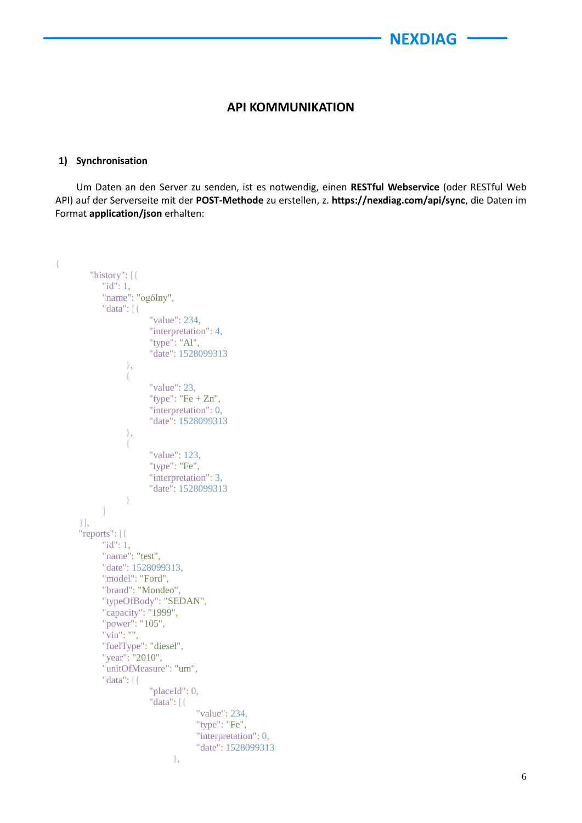## **API KOMMUNIKATION**

#### **1) Synchronisation**

Um Daten an den Server zu senden, ist es notwendig, einen **RESTful Webservice** (oder RESTful Web API) auf der Serverseite mit der **POST-Methode** zu erstellen, z. **https://nexdiag.com/api/sync**, die Daten im Format **application/json** erhalten:

```
{ 
         "history": [{
             "id": 1,
             "name": "ogólny",
             "data": [{
                          "value": 234,
                         "interpretation": 4,
                         "type": "Al",
                         "date": 1528099313
 },
\left\{ \begin{array}{c} 1 & 0 \\ 0 & 1 \end{array} \right\} "value": 23,
                        "type": "Fe + Zn",
                        "interpretation": 0,
                        "date": 1528099313
 },
\left\{ \begin{array}{c} 1 & 0 \\ 0 & 1 \end{array} \right\} "value": 123,
                          "type": "Fe",
                          "interpretation": 3,
                          "date": 1528099313
 }
             ]
       }],
       "reports": [{
             "id": 1,
             "name": "test",
             "date": 1528099313,
             "model": "Ford",
             "brand": "Mondeo",
             "typeOfBody": "SEDAN",
             "capacity": "1999",
             "power": "105",
             "vin": "",
             "fuelType": "diesel",
             "year": "2010",
             "unitOfMeasure": "um",
             "data": [{
                          "placeId": 0,
                          "data": [{
                                      "value": 234,
                                      "type": "Fe",
                                      "interpretation": 0,
                                      "date": 1528099313
 },
```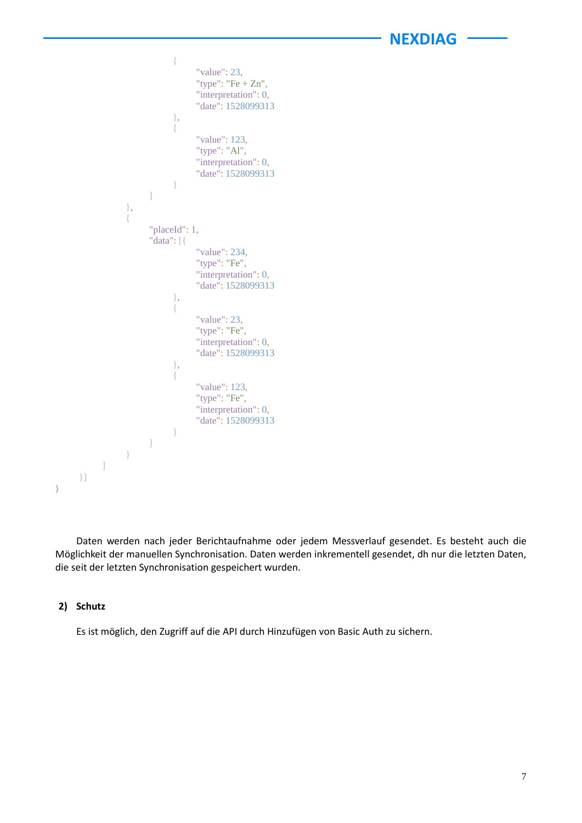```
\{ "value": 23,
                           "type": "Fe + Zn",
                            "interpretation": 0,
                            "date": 1528099313
 },
                      {
                            "value": 123,
                            "type": "Al",
                            "interpretation": 0,
                            "date": 1528099313
 }
 ]
              },
\left\{ \begin{array}{c} 1 & 0 \\ 0 & 1 \end{array} \right\} "placeId": 1,
                   "data": [{
                            "value": 234,
                            "type": "Fe",
                            "interpretation": 0,
                            "date": 1528099313
 },
                      {
                            "value": 23,
                            "type": "Fe",
                           "interpretation": 0,
                            "date": 1528099313
 },
                       {
                            "value": 123,
                            "type": "Fe",
                            "interpretation": 0,
                            "date": 1528099313
 }
 ]
 }
         ]
     }]
}
```
Daten werden nach jeder Berichtaufnahme oder jedem Messverlauf gesendet. Es besteht auch die Möglichkeit der manuellen Synchronisation. Daten werden inkrementell gesendet, dh nur die letzten Daten, die seit der letzten Synchronisation gespeichert wurden.

#### **2) Schutz**

Es ist möglich, den Zugriff auf die API durch Hinzufügen von Basic Auth zu sichern.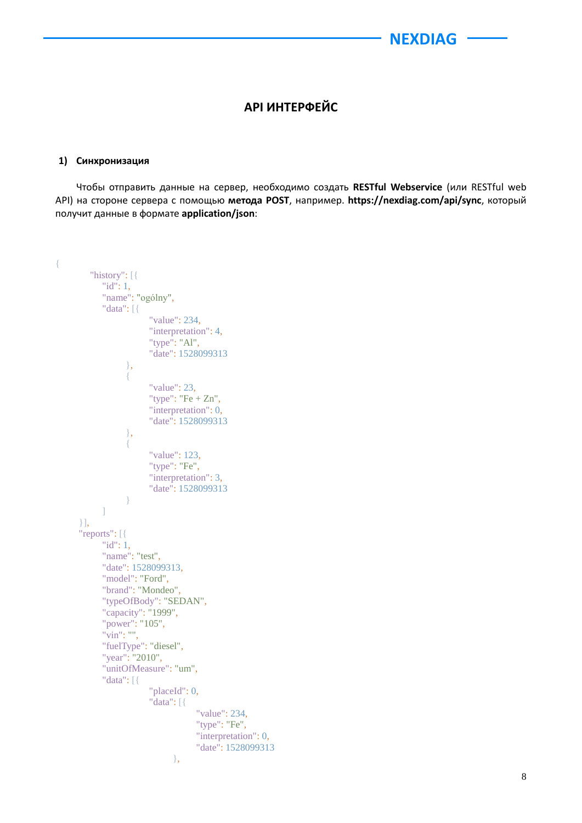## **API ИНТЕРФЕЙС**

#### **1) Синхронизация**

Чтобы отправить данные на сервер, необходимо создать **RESTful Webservice** (или RESTful web API) на стороне сервера с помощью **метода POST**, например. **https://nexdiag.com/api/sync**, который получит данные в формате **application/json**:

```
{ 
         "history": [{
             "id": 1,
             "name": "ogólny",
             "data": [{
                          "value": 234,
                         "interpretation": 4,
                         "type": "Al",
                         "date": 1528099313
 },
\left\{ \begin{array}{c} 1 & 0 \\ 0 & 1 \end{array} \right\} "value": 23,
                        "type": "Fe + Zn",
                        "interpretation": 0,
                        "date": 1528099313
 },
\left\{ \begin{array}{c} 1 & 0 \\ 0 & 1 \end{array} \right\} "value": 123,
                          "type": "Fe",
                          "interpretation": 3,
                          "date": 1528099313
 }
             ]
       }],
       "reports": [{
             "id": 1,
             "name": "test",
             "date": 1528099313,
             "model": "Ford",
             "brand": "Mondeo",
             "typeOfBody": "SEDAN",
             "capacity": "1999",
             "power": "105",
             "vin": "",
             "fuelType": "diesel",
             "year": "2010",
             "unitOfMeasure": "um",
             "data": [{
                          "placeId": 0,
                          "data": [{
                                      "value": 234,
                                      "type": "Fe",
                                      "interpretation": 0,
                                      "date": 1528099313
 },
```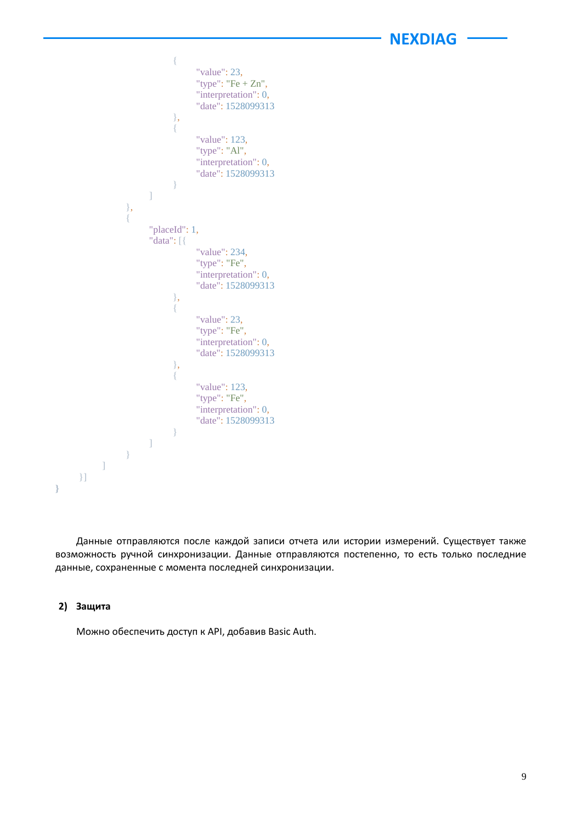```
\{ "value": 23,
                            "type": "Fe + Zn",
                            "interpretation": 0,
                            "date": 1528099313
 },
                       {
                            "value": 123,
                             "type": "Al",
                             "interpretation": 0,
                             "date": 1528099313
 }
 ]
               },
\left\{ \begin{array}{c} 1 & 0 \\ 0 & 1 \end{array} \right\} "placeId": 1,
                   "data": [{
                             "value": 234,
                             "type": "Fe",
                             "interpretation": 0,
                             "date": 1528099313
 },
                       {
                             "value": 23,
                            "type": "Fe",
                            "interpretation": 0,
                            "date": 1528099313
 },
                       {
                            "value": 123,
                             "type": "Fe",
                            "interpretation": 0,
                             "date": 1528099313
  }
 ]
              }
          ]
     }]
}
```
Данные отправляются после каждой записи отчета или истории измерений. Существует также возможность ручной синхронизации. Данные отправляются постепенно, то есть только последние данные, сохраненные с момента последней синхронизации.

#### **2) Защита**

Можно обеспечить доступ к API, добавив Basic Auth.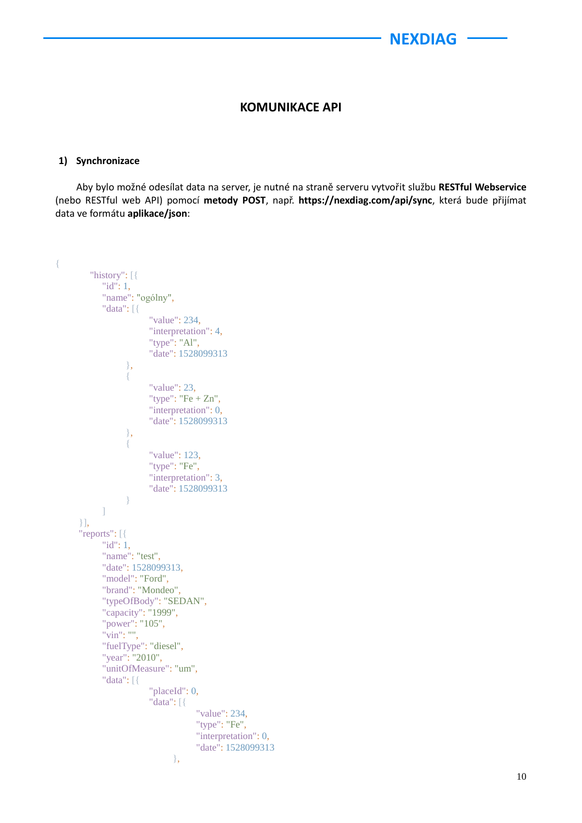## **KOMUNIKACE API**

#### **1) Synchronizace**

Aby bylo možné odesílat data na server, je nutné na straně serveru vytvořit službu **RESTful Webservice** (nebo RESTful web API) pomocí **metody POST**, např. **https://nexdiag.com/api/sync**, která bude přijímat data ve formátu **aplikace/json**:

```
{ 
         "history": [{
             "id": 1,
             "name": "ogólny",
             "data": [{
                          "value": 234,
                         "interpretation": 4,
                         "type": "Al",
                         "date": 1528099313
 },
\left\{ \begin{array}{c} 1 & 0 \\ 0 & 1 \end{array} \right\} "value": 23,
                        "type": "Fe + Zn",
                        "interpretation": 0,
                        "date": 1528099313
 },
\left\{ \begin{array}{c} 1 & 0 \\ 0 & 1 \end{array} \right\} "value": 123,
                          "type": "Fe",
                          "interpretation": 3,
                          "date": 1528099313
 }
             ]
       }],
       "reports": [{
             "id": 1,
             "name": "test",
             "date": 1528099313,
             "model": "Ford",
             "brand": "Mondeo",
             "typeOfBody": "SEDAN",
             "capacity": "1999",
             "power": "105",
             "vin": "",
             "fuelType": "diesel",
             "year": "2010",
             "unitOfMeasure": "um",
             "data": [{
                          "placeId": 0,
                          "data": [{
                                      "value": 234,
                                      "type": "Fe",
                                      "interpretation": 0,
                                      "date": 1528099313
 },
```